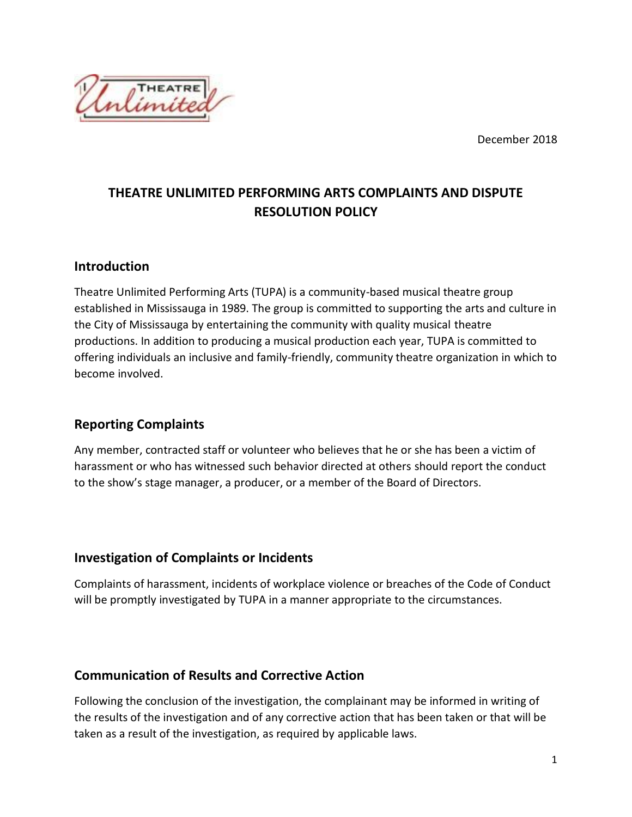December 2018



# **THEATRE UNLIMITED PERFORMING ARTS COMPLAINTS AND DISPUTE RESOLUTION POLICY**

#### **Introduction**

Theatre Unlimited Performing Arts (TUPA) is a community-based musical theatre group established in Mississauga in 1989. The group is committed to supporting the arts and culture in the City of Mississauga by entertaining the community with quality musical theatre productions. In addition to producing a musical production each year, TUPA is committed to offering individuals an inclusive and family-friendly, community theatre organization in which to become involved.

#### **Reporting Complaints**

Any member, contracted staff or volunteer who believes that he or she has been a victim of harassment or who has witnessed such behavior directed at others should report the conduct to the show's stage manager, a producer, or a member of the Board of Directors.

## **Investigation of Complaints or Incidents**

Complaints of harassment, incidents of workplace violence or breaches of the Code of Conduct will be promptly investigated by TUPA in a manner appropriate to the circumstances.

#### **Communication of Results and Corrective Action**

Following the conclusion of the investigation, the complainant may be informed in writing of the results of the investigation and of any corrective action that has been taken or that will be taken as a result of the investigation, as required by applicable laws.